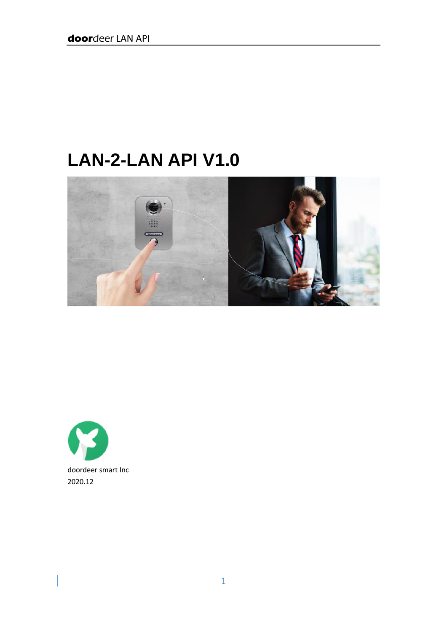# **LAN-2-LAN API V1.0**





 $\begin{array}{c} \hline \end{array}$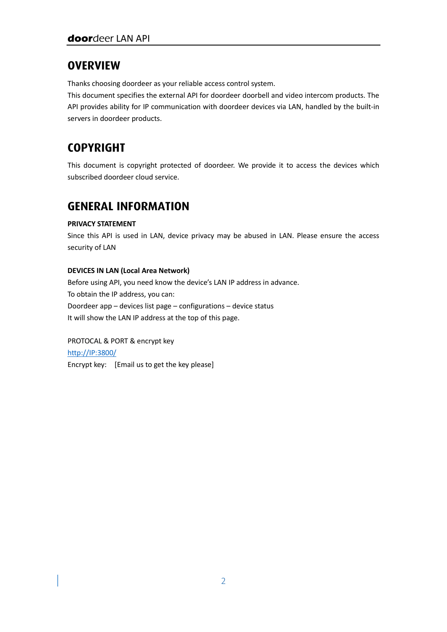### **OVERVIEW**

Thanks choosing doordeer as your reliable access control system.

This document specifies the external API for doordeer doorbell and video intercom products. The API provides ability for IP communication with doordeer devices via LAN, handled by the built-in servers in doordeer products.

# **COPYRIGHT**

This document is copyright protected of doordeer. We provide it to access the devices which subscribed doordeer cloud service.

### **GENERAL INFORMATION**

### **PRIVACY STATEMENT**

Since this API is used in LAN, device privacy may be abused in LAN. Please ensure the access security of LAN

### **DEVICES IN LAN (Local Area Network)**

Before using API, you need know the device's LAN IP address in advance. To obtain the IP address, you can: Doordeer app – devices list page – configurations – device status It will show the LAN IP address at the top of this page.

PROTOCAL & PORT & encrypt key [http://IP:3800/](http://ip:3800/) Encrypt key: [Email us to get the key please]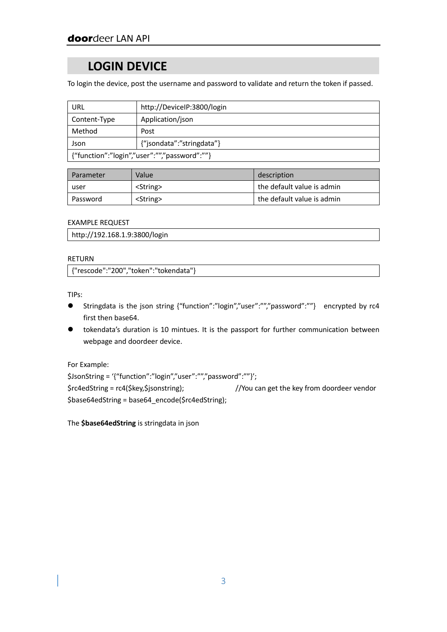### **LOGIN DEVICE**

To login the device, post the username and password to validate and return the token if passed.

| URL                                          | http://DeviceIP:3800/login |  |
|----------------------------------------------|----------------------------|--|
| Content-Type                                 | Application/json           |  |
| Method                                       | Post                       |  |
| Json                                         | {"jsondata":"stringdata"}  |  |
| {"function":"login","user":"","password":""} |                            |  |

| Parameter | Value         | description                |
|-----------|---------------|----------------------------|
| user      | $\le$ String> | the default value is admin |
| Password  | $\le$ String> | the default value is admin |

#### EXAMPLE REQUEST

http://192.168.1.9:3800/login

#### RETURN

{"rescode":"200","token":"tokendata"}

TIPs:

- Stringdata is the json string {"function":"login","user":"","password":""} encrypted by rc4 first then base64.
- tokendata's duration is 10 mintues. It is the passport for further communication between webpage and doordeer device.

For Example:

\$JsonString = '{"function":"login","user":"","password":""}'; \$rc4edString = rc4(\$key,\$jsonstring); //You can get the key from doordeer vendor \$base64edString = base64\_encode(\$rc4edString);

The **\$base64edString** is stringdata in json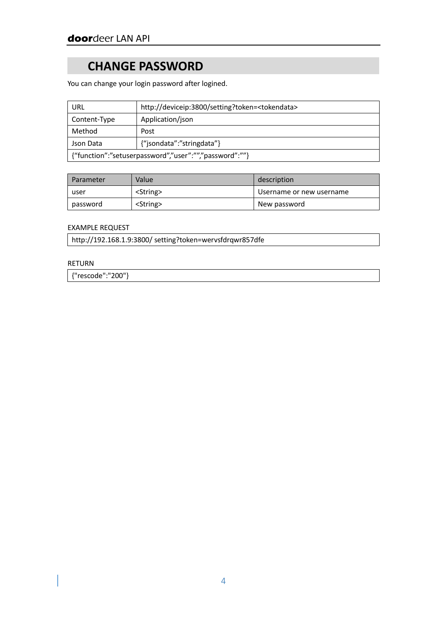## **CHANGE PASSWORD**

You can change your login password after logined.

| URL                                                    | http://deviceip:3800/setting?token= <tokendata></tokendata> |  |
|--------------------------------------------------------|-------------------------------------------------------------|--|
| Content-Type                                           | Application/json                                            |  |
| Method                                                 | Post                                                        |  |
| Json Data                                              | {"jsondata":"stringdata"}                                   |  |
| {"function":"setuserpassword","user":"","password":""} |                                                             |  |

| Parameter | Value         | description              |
|-----------|---------------|--------------------------|
| user      | $\le$ String> | Username or new username |
| password  | $\le$ String> | New password             |

#### EXAMPLE REQUEST

http://192.168.1.9:3800/ setting?token=wervsfdrqwr857dfe

#### RETURN

{"rescode":"200"}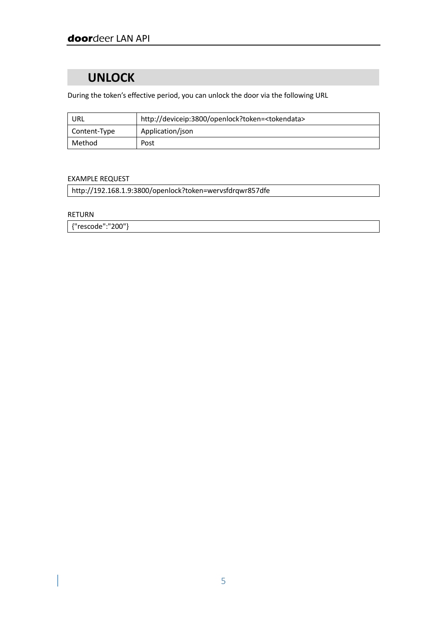### **UNLOCK**

During the token's effective period, you can unlock the door via the following URL

| URL          | http://deviceip:3800/openlock?token= <tokendata></tokendata> |  |
|--------------|--------------------------------------------------------------|--|
| Content-Type | Application/json                                             |  |
| Method       | Post                                                         |  |

### EXAMPLE REQUEST

http://192.168.1.9:3800/openlock?token=wervsfdrqwr857dfe

RETURN

{"rescode":"200"}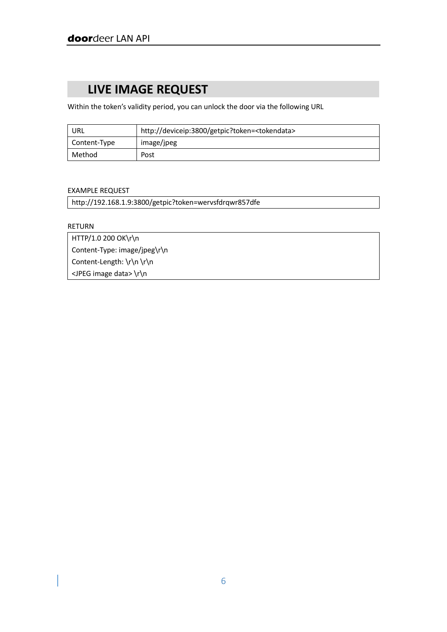# **LIVE IMAGE REQUEST**

Within the token's validity period, you can unlock the door via the following URL

| URL          | http://deviceip:3800/getpic?token= <tokendata></tokendata> |  |
|--------------|------------------------------------------------------------|--|
| Content-Type | image/jpeg                                                 |  |
| Method       | Post                                                       |  |

#### EXAMPLE REQUEST

| http://192.168.1.9:3800/getpic?token=wervsfdrqwr857dfe |  |
|--------------------------------------------------------|--|
|                                                        |  |

RETURN

HTTP/1.0 200 OK\r\n Content-Type: image/jpeg\r\n Content-Length: \r\n \r\n <JPEG image data> \r\n